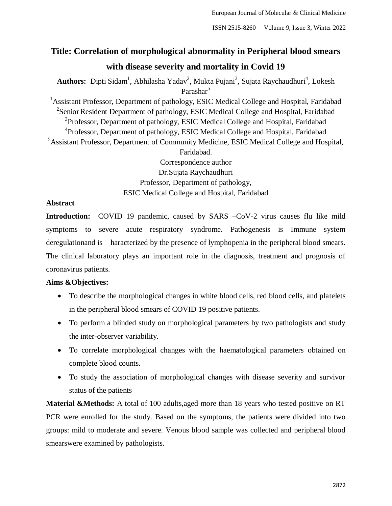# **Title: Correlation of morphological abnormality in Peripheral blood smears with disease severity and mortality in Covid 19**

Authors: Dipti Sidam<sup>1</sup>, Abhilasha Yadav<sup>2</sup>, Mukta Pujani<sup>3</sup>, Sujata Raychaudhuri<sup>4</sup>, Lokesh Parashar<sup>5</sup> <sup>1</sup> Assistant Professor, Department of pathology, ESIC Medical College and Hospital, Faridabad  $2$ Senior Resident Department of pathology, ESIC Medical College and Hospital, Faridabad <sup>3</sup>Professor, Department of pathology, ESIC Medical College and Hospital, Faridabad <sup>4</sup> Professor, Department of pathology, ESIC Medical College and Hospital, Faridabad <sup>5</sup>Assistant Professor, Department of Community Medicine, ESIC Medical College and Hospital, Faridabad. Correspondence author Dr.Sujata Raychaudhuri Professor, Department of pathology,

ESIC Medical College and Hospital, Faridabad

# **Abstract**

**Introduction:** COVID 19 pandemic, caused by SARS –CoV-2 virus causes flu like mild symptoms to severe acute respiratory syndrome. Pathogenesis is Immune system deregulationand is haracterized by the presence of lymphopenia in the peripheral blood smears. The clinical laboratory plays an important role in the diagnosis, treatment and prognosis of coronavirus patients.

# **Aims &Objectives:**

- To describe the morphological changes in white blood cells, red blood cells, and platelets in the peripheral blood smears of COVID 19 positive patients.
- To perform a blinded study on morphological parameters by two pathologists and study the inter-observer variability.
- To correlate morphological changes with the haematological parameters obtained on complete blood counts.
- To study the association of morphological changes with disease severity and survivor status of the patients

**Material &Methods:** A total of 100 adults,aged more than 18 years who tested positive on RT PCR were enrolled for the study. Based on the symptoms, the patients were divided into two groups: mild to moderate and severe. Venous blood sample was collected and peripheral blood smearswere examined by pathologists.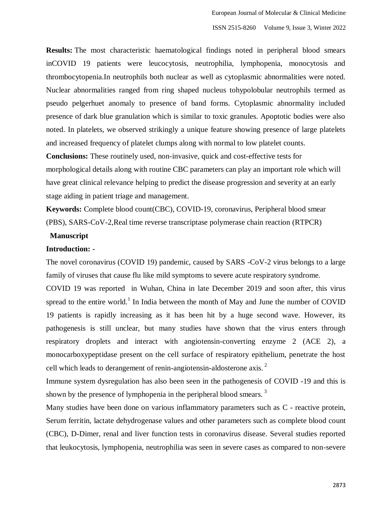**Results:** The most characteristic haematological findings noted in peripheral blood smears inCOVID 19 patients were leucocytosis, neutrophilia, lymphopenia, monocytosis and thrombocytopenia.In neutrophils both nuclear as well as cytoplasmic abnormalities were noted. Nuclear abnormalities ranged from ring shaped nucleus tohypolobular neutrophils termed as pseudo pelgerhuet anomaly to presence of band forms. Cytoplasmic abnormality included presence of dark blue granulation which is similar to toxic granules. Apoptotic bodies were also noted. In platelets, we observed strikingly a unique feature showing presence of large platelets and increased frequency of platelet clumps along with normal to low platelet counts.

**Conclusions:** These routinely used, non-invasive, quick and cost-effective tests for morphological details along with routine CBC parameters can play an important role which will have great clinical relevance helping to predict the disease progression and severity at an early stage aiding in patient triage and management.

**Keywords:** Complete blood count(CBC), COVID-19, coronavirus, Peripheral blood smear (PBS), SARS-CoV-2,Real time reverse transcriptase polymerase chain reaction (RTPCR)

# **Manuscript**

## **Introduction: -**

The novel coronavirus (COVID 19) pandemic, caused by SARS -CoV-2 virus belongs to a large family of viruses that cause flu like mild symptoms to severe acute respiratory syndrome.

COVID 19 was reported in Wuhan, China in late December 2019 and soon after, this virus spread to the entire world.<sup>1</sup> In India between the month of May and June the number of COVID 19 patients is rapidly increasing as it has been hit by a huge second wave. However, its pathogenesis is still unclear, but many studies have shown that the virus enters through respiratory droplets and interact with angiotensin-converting enzyme 2 (ACE 2), a monocarboxypeptidase present on the cell surface of respiratory epithelium, penetrate the host cell which leads to derangement of renin-angiotensin-aldosterone axis.<sup>2</sup>

Immune system dysregulation has also been seen in the pathogenesis of COVID -19 and this is shown by the presence of lymphopenia in the peripheral blood smears.<sup>3</sup>

Many studies have been done on various inflammatory parameters such as C - reactive protein, Serum ferritin, lactate dehydrogenase values and other parameters such as complete blood count (CBC), D-Dimer, renal and liver function tests in coronavirus disease. Several studies reported that leukocytosis, lymphopenia, neutrophilia was seen in severe cases as compared to non-severe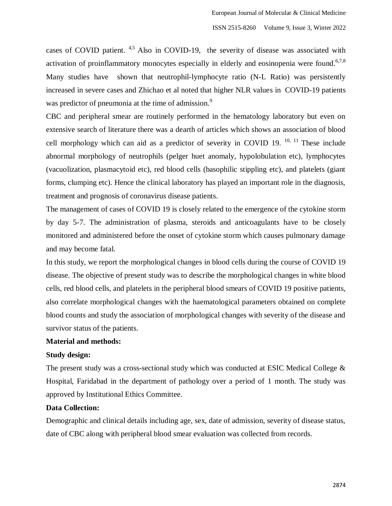cases of COVID patient.  $4.5$  Also in COVID-19, the severity of disease was associated with activation of proinflammatory monocytes especially in elderly and eosinopenia were found.<sup>6,7,8</sup> Many studies have shown that neutrophil-lymphocyte ratio (N-L Ratio) was persistently increased in severe cases and Zhichao et al noted that higher NLR values in COVID-19 patients was predictor of pneumonia at the time of admission.<sup>9</sup>

CBC and peripheral smear are routinely performed in the hematology laboratory but even on extensive search of literature there was a dearth of articles which shows an association of blood cell morphology which can aid as a predictor of severity in COVID 19.  $^{10, 11}$  These include abnormal morphology of neutrophils (pelger huet anomaly, hypolobulation etc), lymphocytes (vacuolization, plasmacytoid etc), red blood cells (basophilic stippling etc), and platelets (giant forms, clumping etc). Hence the clinical laboratory has played an important role in the diagnosis, treatment and prognosis of coronavirus disease patients.

The management of cases of COVID 19 is closely related to the emergence of the cytokine storm by day 5-7. The administration of plasma, steroids and anticoagulants have to be closely monitored and administered before the onset of cytokine storm which causes pulmonary damage and may become fatal.

In this study, we report the morphological changes in blood cells during the course of COVID 19 disease. The objective of present study was to describe the morphological changes in white blood cells, red blood cells, and platelets in the peripheral blood smears of COVID 19 positive patients, also correlate morphological changes with the haematological parameters obtained on complete blood counts and study the association of morphological changes with severity of the disease and survivor status of the patients.

# **Material and methods:**

## **Study design:**

The present study was a cross-sectional study which was conducted at ESIC Medical College & Hospital, Faridabad in the department of pathology over a period of 1 month. The study was approved by Institutional Ethics Committee.

## **Data Collection:**

Demographic and clinical details including age, sex, date of admission, severity of disease status, date of CBC along with peripheral blood smear evaluation was collected from records.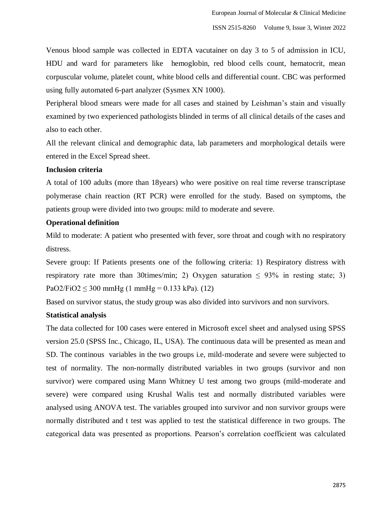Venous blood sample was collected in EDTA vacutainer on day 3 to 5 of admission in ICU, HDU and ward for parameters like hemoglobin, red blood cells count, hematocrit, mean corpuscular volume, platelet count, white blood cells and differential count. CBC was performed using fully automated 6-part analyzer (Sysmex XN 1000).

Peripheral blood smears were made for all cases and stained by Leishman's stain and visually examined by two experienced pathologists blinded in terms of all clinical details of the cases and also to each other.

All the relevant clinical and demographic data, lab parameters and morphological details were entered in the Excel Spread sheet.

# **Inclusion criteria**

A total of 100 adults (more than 18years) who were positive on real time reverse transcriptase polymerase chain reaction (RT PCR) were enrolled for the study. Based on symptoms, the patients group were divided into two groups: mild to moderate and severe.

# **Operational definition**

Mild to moderate: A patient who presented with fever, sore throat and cough with no respiratory distress.

Severe group: If Patients presents one of the following criteria: 1) Respiratory distress with respiratory rate more than 30times/min; 2) Oxygen saturation  $\leq 93\%$  in resting state; 3) PaO2/FiO2  $\leq$  300 mmHg (1 mmHg = 0.133 kPa). (12)

Based on survivor status, the study group was also divided into survivors and non survivors.

# **Statistical analysis**

The data collected for 100 cases were entered in Microsoft excel sheet and analysed using SPSS version 25.0 (SPSS Inc., Chicago, IL, USA). The continuous data will be presented as mean and SD. The continous variables in the two groups i.e, mild-moderate and severe were subjected to test of normality. The non-normally distributed variables in two groups (survivor and non survivor) were compared using Mann Whitney U test among two groups (mild-moderate and severe) were compared using Krushal Walis test and normally distributed variables were analysed using ANOVA test. The variables grouped into survivor and non survivor groups were normally distributed and t test was applied to test the statistical difference in two groups. The categorical data was presented as proportions. Pearson's correlation coefficient was calculated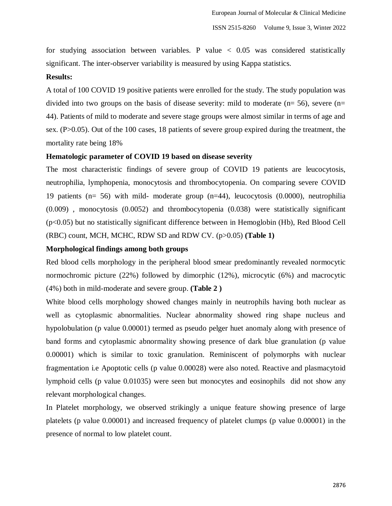for studying association between variables. P value  $\langle 0.05 \rangle$  was considered statistically significant. The inter-observer variability is measured by using Kappa statistics.

# **Results:**

A total of 100 COVID 19 positive patients were enrolled for the study. The study population was divided into two groups on the basis of disease severity: mild to moderate  $(n=56)$ , severe  $(n=$ 44). Patients of mild to moderate and severe stage groups were almost similar in terms of age and sex. (P>0.05). Out of the 100 cases, 18 patients of severe group expired during the treatment, the mortality rate being 18%

## **Hematologic parameter of COVID 19 based on disease severity**

The most characteristic findings of severe group of COVID 19 patients are leucocytosis, neutrophilia, lymphopenia, monocytosis and thrombocytopenia. On comparing severe COVID 19 patients (n= 56) with mild- moderate group (n=44), leucocytosis (0.0000), neutrophilia (0.009) , monocytosis (0.0052) and thrombocytopenia (0.038) were statistically significant (p<0.05) but no statistically significant difference between in Hemoglobin (Hb), Red Blood Cell (RBC) count, MCH, MCHC, RDW SD and RDW CV. (p>0.05) **(Table 1)**

### **Morphological findings among both groups**

Red blood cells morphology in the peripheral blood smear predominantly revealed normocytic normochromic picture (22%) followed by dimorphic (12%), microcytic (6%) and macrocytic (4%) both in mild-moderate and severe group. **(Table 2 )**

White blood cells morphology showed changes mainly in neutrophils having both nuclear as well as cytoplasmic abnormalities. Nuclear abnormality showed ring shape nucleus and hypolobulation (p value 0.00001) termed as pseudo pelger huet anomaly along with presence of band forms and cytoplasmic abnormality showing presence of dark blue granulation (p value 0.00001) which is similar to toxic granulation. Reminiscent of polymorphs with nuclear fragmentation i.e Apoptotic cells (p value 0.00028) were also noted. Reactive and plasmacytoid lymphoid cells (p value 0.01035) were seen but monocytes and eosinophils did not show any relevant morphological changes.

In Platelet morphology, we observed strikingly a unique feature showing presence of large platelets (p value 0.00001) and increased frequency of platelet clumps (p value 0.00001) in the presence of normal to low platelet count.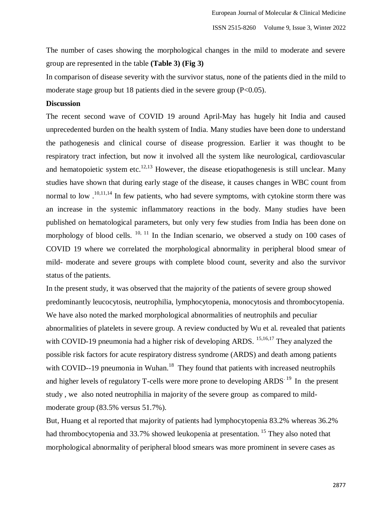The number of cases showing the morphological changes in the mild to moderate and severe group are represented in the table **(Table 3) (Fig 3)**

In comparison of disease severity with the survivor status, none of the patients died in the mild to moderate stage group but 18 patients died in the severe group  $(P<0.05)$ .

## **Discussion**

The recent second wave of COVID 19 around April-May has hugely hit India and caused unprecedented burden on the health system of India. Many studies have been done to understand the pathogenesis and clinical course of disease progression. Earlier it was thought to be respiratory tract infection, but now it involved all the system like neurological, cardiovascular and hematopoietic system etc.<sup>12,13</sup> However, the disease etiopathogenesis is still unclear. Many studies have shown that during early stage of the disease, it causes changes in WBC count from normal to low  $10,11,14$  In few patients, who had severe symptoms, with cytokine storm there was an increase in the systemic inflammatory reactions in the body. Many studies have been published on hematological parameters, but only very few studies from India has been done on morphology of blood cells.  $10, 11$  In the Indian scenario, we observed a study on 100 cases of COVID 19 where we correlated the morphological abnormality in peripheral blood smear of mild- moderate and severe groups with complete blood count, severity and also the survivor status of the patients.

In the present study, it was observed that the majority of the patients of severe group showed predominantly leucocytosis, neutrophilia, lymphocytopenia, monocytosis and thrombocytopenia. We have also noted the marked morphological abnormalities of neutrophils and peculiar abnormalities of platelets in severe group. A review conducted by Wu et al. revealed that patients with COVID-19 pneumonia had a higher risk of developing ARDS. <sup>15,16,17</sup> They analyzed the possible risk factors for acute respiratory distress syndrome (ARDS) and death among patients with COVID--19 pneumonia in Wuhan.<sup>18</sup> They found that patients with increased neutrophils and higher levels of regulatory T-cells were more prone to developing  $ARDS<sup>-19</sup>$  In the present study , we also noted neutrophilia in majority of the severe group as compared to mildmoderate group (83.5% versus 51.7%).

But, Huang et al reported that majority of patients had lymphocytopenia 83.2% whereas 36.2% had thrombocytopenia and 33.7% showed leukopenia at presentation. <sup>15</sup> They also noted that morphological abnormality of peripheral blood smears was more prominent in severe cases as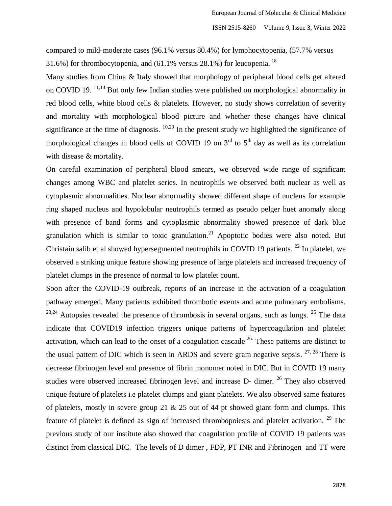compared to mild-moderate cases (96.1% versus 80.4%) for lymphocytopenia, (57.7% versus 31.6%) for thrombocytopenia, and  $(61.1\%$  versus 28.1%) for leucopenia. <sup>18</sup>

Many studies from China & Italy showed that morphology of peripheral blood cells get altered on COVID 19. <sup>11,14</sup> But only few Indian studies were published on morphological abnormality in red blood cells, white blood cells & platelets. However, no study shows correlation of severity and mortality with morphological blood picture and whether these changes have clinical significance at the time of diagnosis.  $10,20$  In the present study we highlighted the significance of morphological changes in blood cells of COVID 19 on  $3<sup>rd</sup>$  to  $5<sup>th</sup>$  day as well as its correlation with disease & mortality.

On careful examination of peripheral blood smears, we observed wide range of significant changes among WBC and platelet series. In neutrophils we observed both nuclear as well as cytoplasmic abnormalities. Nuclear abnormality showed different shape of nucleus for example ring shaped nucleus and hypolobular neutrophils termed as pseudo pelger huet anomaly along with presence of band forms and cytoplasmic abnormality showed presence of dark blue granulation which is similar to toxic granulation.<sup>21</sup> Apoptotic bodies were also noted. But Christain salib et al showed hypersegmented neutrophils in COVID 19 patients.<sup>22</sup> In platelet, we observed a striking unique feature showing presence of large platelets and increased frequency of platelet clumps in the presence of normal to low platelet count.

Soon after the COVID-19 outbreak, reports of an increase in the activation of a coagulation pathway emerged. Many patients exhibited thrombotic events and acute pulmonary embolisms.  $23,24$  Autopsies revealed the presence of thrombosis in several organs, such as lungs.  $25$  The data indicate that COVID19 infection triggers unique patterns of hypercoagulation and platelet activation, which can lead to the onset of a coagulation cascade  $26$ . These patterns are distinct to the usual pattern of DIC which is seen in ARDS and severe gram negative sepsis.  $27, 28$  There is decrease fibrinogen level and presence of fibrin monomer noted in DIC. But in COVID 19 many studies were observed increased fibrinogen level and increase D- dimer. <sup>26</sup> They also observed unique feature of platelets i.e platelet clumps and giant platelets. We also observed same features of platelets, mostly in severe group 21 & 25 out of 44 pt showed giant form and clumps. This feature of platelet is defined as sign of increased thrombopoiesis and platelet activation. <sup>29</sup> The previous study of our institute also showed that coagulation profile of COVID 19 patients was distinct from classical DIC. The levels of D dimer , FDP, PT INR and Fibrinogen and TT were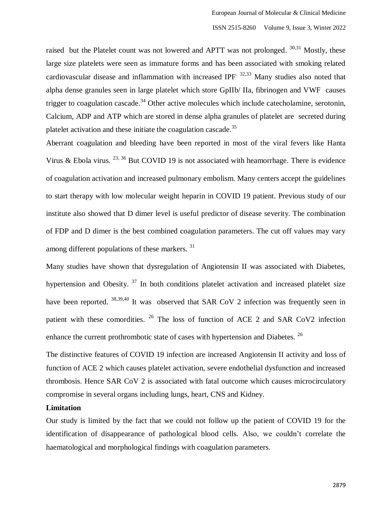raised but the Platelet count was not lowered and APTT was not prolonged.  $30,31$  Mostly, these large size platelets were seen as immature forms and has been associated with smoking related cardiovascular disease and inflammation with increased IPF<sup>32,33</sup> Many studies also noted that alpha dense granules seen in large platelet which store GpIIb/ IIa, fibrinogen and VWF causes trigger to coagulation cascade.<sup>34</sup> Other active molecules which include catecholamine, serotonin, Calcium, ADP and ATP which are stored in dense alpha granules of platelet are secreted during platelet activation and these initiate the coagulation cascade.<sup>35</sup>

Aberrant coagulation and bleeding have been reported in most of the viral fevers like Hanta Virus & Ebola virus.  $^{23, 36}$  But COVID 19 is not associated with heamorrhage. There is evidence of coagulation activation and increased pulmonary embolism. Many centers accept the guidelines to start therapy with low molecular weight heparin in COVID 19 patient. Previous study of our institute also showed that D dimer level is useful predictor of disease severity. The combination of FDP and D dimer is the best combined coagulation parameters. The cut off values may vary among different populations of these markers. <sup>31</sup>

Many studies have shown that dysregulation of Angiotensin II was associated with Diabetes, hypertension and Obesity.<sup>37</sup> In both conditions platelet activation and increased platelet size have been reported. <sup>38,39,40</sup> It was observed that SAR CoV 2 infection was frequently seen in patient with these comordities.  $26$  The loss of function of ACE 2 and SAR CoV2 infection enhance the current prothrombotic state of cases with hypertension and Diabetes. <sup>26</sup>

The distinctive features of COVID 19 infection are increased Angiotensin II activity and loss of function of ACE 2 which causes platelet activation, severe endothelial dysfunction and increased thrombosis. Hence SAR CoV 2 is associated with fatal outcome which causes microcirculatory compromise in several organs including lungs, heart, CNS and Kidney.

### **Limitation**

Our study is limited by the fact that we could not follow up the patient of COVID 19 for the identification of disappearance of pathological blood cells. Also, we couldn't correlate the haematological and morphological findings with coagulation parameters.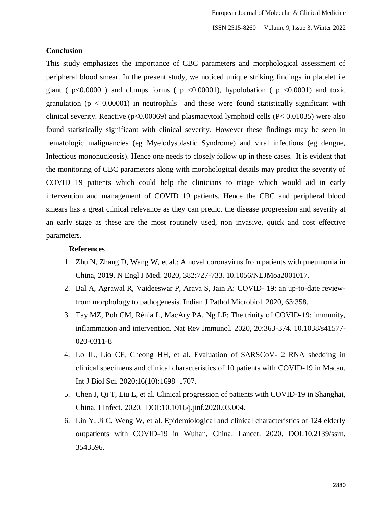#### **Conclusion**

This study emphasizes the importance of CBC parameters and morphological assessment of peripheral blood smear. In the present study, we noticed unique striking findings in platelet i.e giant ( $p<0.00001$ ) and clumps forms ( $p < 0.00001$ ), hypolobation ( $p < 0.0001$ ) and toxic granulation ( $p < 0.00001$ ) in neutrophils and these were found statistically significant with clinical severity. Reactive ( $p<0.00069$ ) and plasmacytoid lymphoid cells ( $P< 0.01035$ ) were also found statistically significant with clinical severity. However these findings may be seen in hematologic malignancies (eg Myelodysplastic Syndrome) and viral infections (eg dengue, Infectious mononucleosis). Hence one needs to closely follow up in these cases. It is evident that the monitoring of CBC parameters along with morphological details may predict the severity of COVID 19 patients which could help the clinicians to triage which would aid in early intervention and management of COVID 19 patients. Hence the CBC and peripheral blood smears has a great clinical relevance as they can predict the disease progression and severity at an early stage as these are the most routinely used, non invasive, quick and cost effective parameters.

### **References**

- 1. Zhu N, Zhang D, Wang W, et al.: A novel coronavirus from patients with pneumonia in China, 2019. N Engl J Med. 2020, 382:727-733. 10.1056/NEJMoa2001017.
- 2. Bal A, Agrawal R, Vaideeswar P, Arava S, Jain A: COVID- 19: an up-to-date reviewfrom morphology to pathogenesis. Indian J Pathol Microbiol. 2020, 63:358.
- 3. Tay MZ, Poh CM, Rénia L, MacAry PA, Ng LF: The trinity of COVID-19: immunity, inflammation and intervention. Nat Rev Immunol. 2020, 20:363-374. 10.1038/s41577- 020-0311-8
- 4. Lo IL, Lio CF, Cheong HH, et al. Evaluation of SARSCoV- 2 RNA shedding in clinical specimens and clinical characteristics of 10 patients with COVID-19 in Macau. Int J Biol Sci. 2020;16(10):1698–1707.
- 5. Chen J, Qi T, Liu L, et al. Clinical progression of patients with COVID-19 in Shanghai, China. J Infect. 2020. DOI:10.1016/j.jinf.2020.03.004.
- 6. Lin Y, Ji C, Weng W, et al. Epidemiological and clinical characteristics of 124 elderly outpatients with COVID-19 in Wuhan, China. Lancet. 2020. DOI:10.2139/ssrn. 3543596.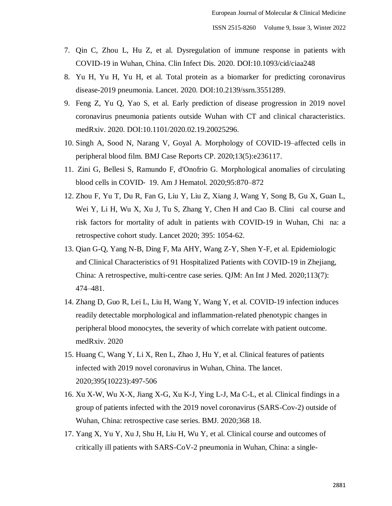- 7. Qin C, Zhou L, Hu Z, et al. Dysregulation of immune response in patients with COVID-19 in Wuhan, China. Clin Infect Dis. 2020. DOI:10.1093/cid/ciaa248
- 8. Yu H, Yu H, Yu H, et al. Total protein as a biomarker for predicting coronavirus disease-2019 pneumonia. Lancet. 2020. DOI:10.2139/ssrn.3551289.
- 9. Feng Z, Yu Q, Yao S, et al. Early prediction of disease progression in 2019 novel coronavirus pneumonia patients outside Wuhan with CT and clinical characteristics. medRxiv. 2020. DOI:10.1101/2020.02.19.20025296.
- 10. Singh A, Sood N, Narang V, Goyal A. Morphology of COVID-19–affected cells in peripheral blood film. BMJ Case Reports CP. 2020;13(5):e236117.
- 11. Zini G, Bellesi S, Ramundo F, d'Onofrio G. Morphological anomalies of circulating blood cells in COVID‐ 19. Am J Hematol. 2020;95:870–872
- 12. Zhou F, Yu T, Du R, Fan G, Liu Y, Liu Z, Xiang J, Wang Y, Song B, Gu X, Guan L, Wei Y, Li H, Wu X, Xu J, Tu S, Zhang Y, Chen H and Cao B. Clini cal course and risk factors for mortality of adult in patients with COVID-19 in Wuhan, Chi-na: a retrospective cohort study. Lancet 2020; 395: 1054-62.
- 13. Qian G-Q, Yang N-B, Ding F, Ma AHY, Wang Z-Y, Shen Y-F, et al. Epidemiologic and Clinical Characteristics of 91 Hospitalized Patients with COVID-19 in Zhejiang, China: A retrospective, multi-centre case series. QJM: An Int J Med. 2020;113(7): 474–481.
- 14. Zhang D, Guo R, Lei L, Liu H, Wang Y, Wang Y, et al. COVID-19 infection induces readily detectable morphological and inflammation-related phenotypic changes in peripheral blood monocytes, the severity of which correlate with patient outcome. medRxiv. 2020
- 15. Huang C, Wang Y, Li X, Ren L, Zhao J, Hu Y, et al. Clinical features of patients infected with 2019 novel coronavirus in Wuhan, China. The lancet. 2020;395(10223):497-506
- 16. Xu X-W, Wu X-X, Jiang X-G, Xu K-J, Ying L-J, Ma C-L, et al. Clinical findings in a group of patients infected with the 2019 novel coronavirus (SARS-Cov-2) outside of Wuhan, China: retrospective case series. BMJ. 2020;368 18.
- 17. Yang X, Yu Y, Xu J, Shu H, Liu H, Wu Y, et al. Clinical course and outcomes of critically ill patients with SARS-CoV-2 pneumonia in Wuhan, China: a single-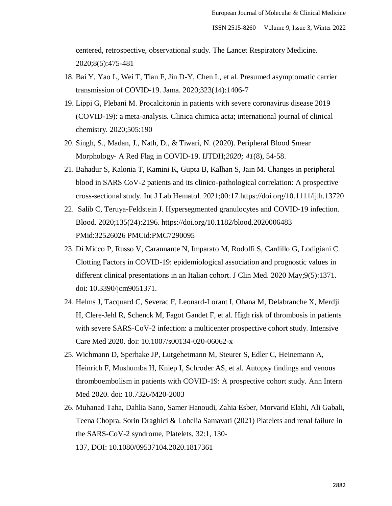centered, retrospective, observational study. The Lancet Respiratory Medicine. 2020;8(5):475-481

- 18. Bai Y, Yao L, Wei T, Tian F, Jin D-Y, Chen L, et al. Presumed asymptomatic carrier transmission of COVID-19. Jama. 2020;323(14):1406-7
- 19. Lippi G, Plebani M. Procalcitonin in patients with severe coronavirus disease 2019 (COVID-19): a meta-analysis. Clinica chimica acta; international journal of clinical chemistry. 2020;505:190
- 20. Singh, S., Madan, J., Nath, D., & Tiwari, N. (2020). Peripheral Blood Smear Morphology- A Red Flag in COVID-19. IJTDH;*2020; 41*(8), 54-58.
- 21. Bahadur S, Kalonia T, Kamini K, Gupta B, Kalhan S, Jain M. Changes in peripheral blood in SARS CoV-2 patients and its clinico-pathological correlation: A prospective cross-sectional study. Int J Lab Hematol. 2021;00:17.https://doi.org/10.1111/ijlh.13720
- 22. Salib C, Teruya-Feldstein J. Hypersegmented granulocytes and COVID-19 infection. Blood. 2020;135(24):2196. https://doi.org/10.1182/blood.2020006483 PMid:32526026 PMCid:PMC7290095
- 23. Di Micco P, Russo V, Carannante N, Imparato M, Rodolfi S, Cardillo G, Lodigiani C. Clotting Factors in COVID-19: epidemiological association and prognostic values in different clinical presentations in an Italian cohort. J Clin Med. 2020 May;9(5):1371. doi: 10.3390/jcm9051371.
- 24. Helms J, Tacquard C, Severac F, Leonard-Lorant I, Ohana M, Delabranche X, Merdji H, Clere-Jehl R, Schenck M, Fagot Gandet F, et al. High risk of thrombosis in patients with severe SARS-CoV-2 infection: a multicenter prospective cohort study. Intensive Care Med 2020. doi: 10.1007/s00134-020-06062-x
- 25. Wichmann D, Sperhake JP, Lutgehetmann M, Steurer S, Edler C, Heinemann A, Heinrich F, Mushumba H, Kniep I, Schroder AS, et al. Autopsy findings and venous thromboembolism in patients with COVID-19: A prospective cohort study. Ann Intern Med 2020. doi: 10.7326/M20-2003
- 26. Muhanad Taha, Dahlia Sano, Samer Hanoudi, Zahia Esber, Morvarid Elahi, Ali Gabali, Teena Chopra, Sorin Draghici & Lobelia Samavati (2021) Platelets and renal failure in the SARS-CoV-2 syndrome, Platelets, 32:1, 130- 137, DOI: [10.1080/09537104.2020.1817361](https://doi.org/10.1080/09537104.2020.1817361)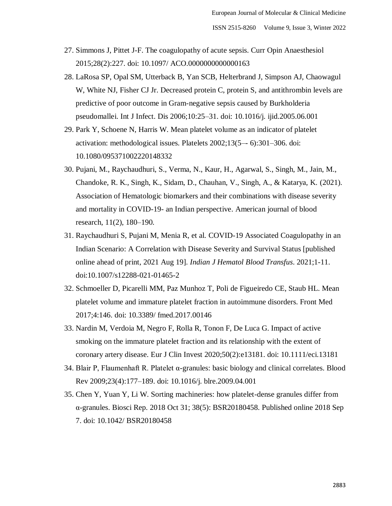- 27. Simmons J, Pittet J-F. The coagulopathy of acute sepsis. Curr Opin Anaesthesiol 2015;28(2):227. doi: 10.1097/ ACO.0000000000000163
- 28. LaRosa SP, Opal SM, Utterback B, Yan SCB, Helterbrand J, Simpson AJ, Chaowagul W, White NJ, Fisher CJ Jr. Decreased protein C, protein S, and antithrombin levels are predictive of poor outcome in Gram-negative sepsis caused by Burkholderia pseudomallei. Int J Infect. Dis 2006;10:25–31. doi: 10.1016/j. ijid.2005.06.001
- 29. Park Y, Schoene N, Harris W. Mean platelet volume as an indicator of platelet activation: methodological issues. Platelets 2002;13(5–- 6):301–306. doi: 10.1080/095371002220148332
- 30. Pujani, M., Raychaudhuri, S., Verma, N., Kaur, H., Agarwal, S., Singh, M., Jain, M., Chandoke, R. K., Singh, K., Sidam, D., Chauhan, V., Singh, A., & Katarya, K. (2021). Association of Hematologic biomarkers and their combinations with disease severity and mortality in COVID-19- an Indian perspective. American journal of blood research, 11(2), 180–190.
- 31. Raychaudhuri S, Pujani M, Menia R, et al. COVID-19 Associated Coagulopathy in an Indian Scenario: A Correlation with Disease Severity and Survival Status [published online ahead of print, 2021 Aug 19]. *Indian J Hematol Blood Transfus*. 2021;1-11. doi:10.1007/s12288-021-01465-2
- 32. Schmoeller D, Picarelli MM, Paz Munhoz T, Poli de Figueiredo CE, Staub HL. Mean platelet volume and immature platelet fraction in autoimmune disorders. Front Med 2017;4:146. doi: 10.3389/ fmed.2017.00146
- 33. Nardin M, Verdoia M, Negro F, Rolla R, Tonon F, De Luca G. Impact of active smoking on the immature platelet fraction and its relationship with the extent of coronary artery disease. Eur J Clin Invest 2020;50(2):e13181. doi: 10.1111/eci.13181
- 34. Blair P, Flaumenhaft R. Platelet α-granules: basic biology and clinical correlates. Blood Rev 2009;23(4):177–189. doi: 10.1016/j. blre.2009.04.001
- 35. Chen Y, Yuan Y, Li W. Sorting machineries: how platelet-dense granules differ from α-granules. Biosci Rep. 2018 Oct 31; 38(5): BSR20180458. Published online 2018 Sep 7. doi: 10.1042/ BSR20180458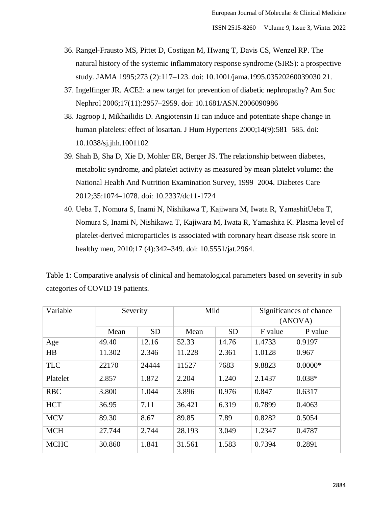- 36. Rangel-Frausto MS, Pittet D, Costigan M, Hwang T, Davis CS, Wenzel RP. The natural history of the systemic inflammatory response syndrome (SIRS): a prospective study. JAMA 1995;273 (2):117–123. doi: 10.1001/jama.1995.03520260039030 21.
- 37. Ingelfinger JR. ACE2: a new target for prevention of diabetic nephropathy? Am Soc Nephrol 2006;17(11):2957–2959. doi: 10.1681/ASN.2006090986
- 38. Jagroop I, Mikhailidis D. Angiotensin II can induce and potentiate shape change in human platelets: effect of losartan. J Hum Hypertens 2000;14(9):581–585. doi: 10.1038/sj.jhh.1001102
- 39. Shah B, Sha D, Xie D, Mohler ER, Berger JS. The relationship between diabetes, metabolic syndrome, and platelet activity as measured by mean platelet volume: the National Health And Nutrition Examination Survey, 1999–2004. Diabetes Care 2012;35:1074–1078. doi: 10.2337/dc11-1724
- 40. Ueba T, Nomura S, Inami N, Nishikawa T, Kajiwara M, Iwata R, YamashitUeba T, Nomura S, Inami N, Nishikawa T, Kajiwara M, Iwata R, Yamashita K. Plasma level of platelet-derived microparticles is associated with coronary heart disease risk score in healthy men, 2010;17 (4):342–349. doi: 10.5551/jat.2964.

Table 1: Comparative analysis of clinical and hematological parameters based on severity in sub categories of COVID 19 patients.

| Variable    | Severity |           | Mild   |           | Significances of chance |           |
|-------------|----------|-----------|--------|-----------|-------------------------|-----------|
|             |          |           |        |           | (ANOVA)                 |           |
|             | Mean     | <b>SD</b> | Mean   | <b>SD</b> | F value                 | P value   |
| Age         | 49.40    | 12.16     | 52.33  | 14.76     | 1.4733                  | 0.9197    |
| HB          | 11.302   | 2.346     | 11.228 | 2.361     | 1.0128                  | 0.967     |
| <b>TLC</b>  | 22170    | 24444     | 11527  | 7683      | 9.8823                  | $0.0000*$ |
| Platelet    | 2.857    | 1.872     | 2.204  | 1.240     | 2.1437                  | $0.038*$  |
| <b>RBC</b>  | 3.800    | 1.044     | 3.896  | 0.976     | 0.847                   | 0.6317    |
| <b>HCT</b>  | 36.95    | 7.11      | 36.421 | 6.319     | 0.7899                  | 0.4063    |
| <b>MCV</b>  | 89.30    | 8.67      | 89.85  | 7.89      | 0.8282                  | 0.5054    |
| <b>MCH</b>  | 27.744   | 2.744     | 28.193 | 3.049     | 1.2347                  | 0.4787    |
| <b>MCHC</b> | 30.860   | 1.841     | 31.561 | 1.583     | 0.7394                  | 0.2891    |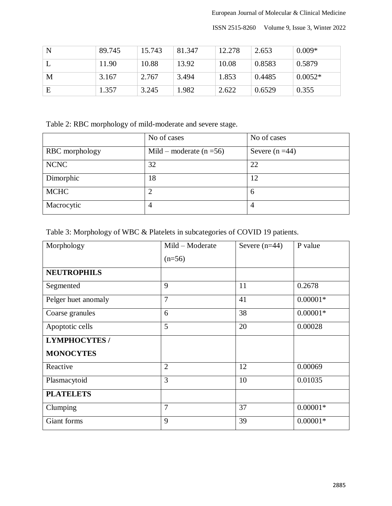ISSN 2515-8260 Volume 9, Issue 3, Winter 2022

| N | 89.745 | 15.743 | 81.347 | 12.278 | 2.653  | $0.009*$  |
|---|--------|--------|--------|--------|--------|-----------|
|   | 11.90  | 10.88  | 13.92  | 10.08  | 0.8583 | 0.5879    |
| M | 3.167  | 2.767  | 3.494  | 1.853  | 0.4485 | $0.0052*$ |
| Е | 1.357  | 3.245  | 1.982  | 2.622  | 0.6529 | 0.355     |

Table 2: RBC morphology of mild-moderate and severe stage.

|                | No of cases                  | No of cases     |
|----------------|------------------------------|-----------------|
| RBC morphology | Mild – moderate ( $n = 56$ ) | Severe $(n=44)$ |
| <b>NCNC</b>    | 32                           | 22              |
| Dimorphic      | 18                           | 12              |
| <b>MCHC</b>    | $\overline{2}$               | 6               |
| Macrocytic     | 4                            | $\overline{4}$  |

| Table 3: Morphology of WBC & Platelets in subcategories of COVID 19 patients. |  |  |
|-------------------------------------------------------------------------------|--|--|
|                                                                               |  |  |

| Morphology           | Mild – Moderate | Severe $(n=44)$ | P value    |
|----------------------|-----------------|-----------------|------------|
|                      | $(n=56)$        |                 |            |
| <b>NEUTROPHILS</b>   |                 |                 |            |
| Segmented            | 9               | 11              | 0.2678     |
| Pelger huet anomaly  | 7               | 41              | $0.00001*$ |
| Coarse granules      | 6               | 38              | $0.00001*$ |
| Apoptotic cells      | 5               | 20              | 0.00028    |
| <b>LYMPHOCYTES /</b> |                 |                 |            |
| <b>MONOCYTES</b>     |                 |                 |            |
| Reactive             | $\overline{2}$  | 12              | 0.00069    |
| Plasmacytoid         | 3               | 10              | 0.01035    |
| <b>PLATELETS</b>     |                 |                 |            |
| Clumping             | $\overline{7}$  | 37              | $0.00001*$ |
| Giant forms          | 9               | 39              | $0.00001*$ |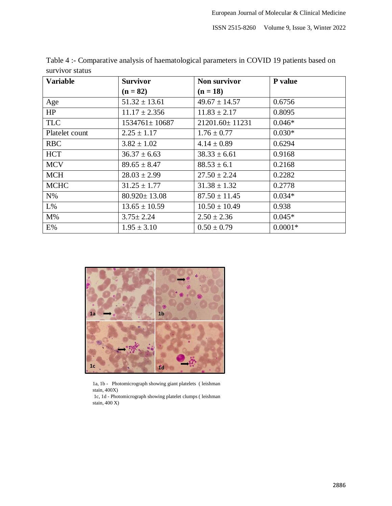ISSN 2515-8260 Volume 9, Issue 3, Winter 2022

| Variable       | <b>Survivor</b>     | <b>Non survivor</b> | P value   |
|----------------|---------------------|---------------------|-----------|
|                | $(n = 82)$          | $(n = 18)$          |           |
| Age            | $51.32 \pm 13.61$   | $49.67 \pm 14.57$   | 0.6756    |
| HP             | $11.17 \pm 2.356$   | $11.83 \pm 2.17$    | 0.8095    |
| <b>TLC</b>     | $1534761 \pm 10687$ | 21201.60±11231      | $0.046*$  |
| Platelet count | $2.25 \pm 1.17$     | $1.76 \pm 0.77$     | $0.030*$  |
| <b>RBC</b>     | $3.82 \pm 1.02$     | $4.14 \pm 0.89$     | 0.6294    |
| <b>HCT</b>     | $36.37 \pm 6.63$    | $38.33 \pm 6.61$    | 0.9168    |
| <b>MCV</b>     | $89.65 \pm 8.47$    | $88.53 \pm 6.1$     | 0.2168    |
| <b>MCH</b>     | $28.03 \pm 2.99$    | $27.50 \pm 2.24$    | 0.2282    |
| <b>MCHC</b>    | $31.25 \pm 1.77$    | $31.38 \pm 1.32$    | 0.2778    |
| $N\%$          | $80.920 \pm 13.08$  | $87.50 \pm 11.45$   | $0.034*$  |
| $L\%$          | $13.65 \pm 10.59$   | $10.50 \pm 10.49$   | 0.938     |
| $M\%$          | $3.75 \pm 2.24$     | $2.50 \pm 2.36$     | $0.045*$  |
| E%             | $1.95 \pm 3.10$     | $0.50 \pm 0.79$     | $0.0001*$ |

Table 4 :- Comparative analysis of haematological parameters in COVID 19 patients based on survivor status



1a, 1b - Photomicrograph showing giant platelets ( leishman stain, 400X)

1c, 1d - Photomicrograph showing platelet clumps ( leishman stain, 400 X)